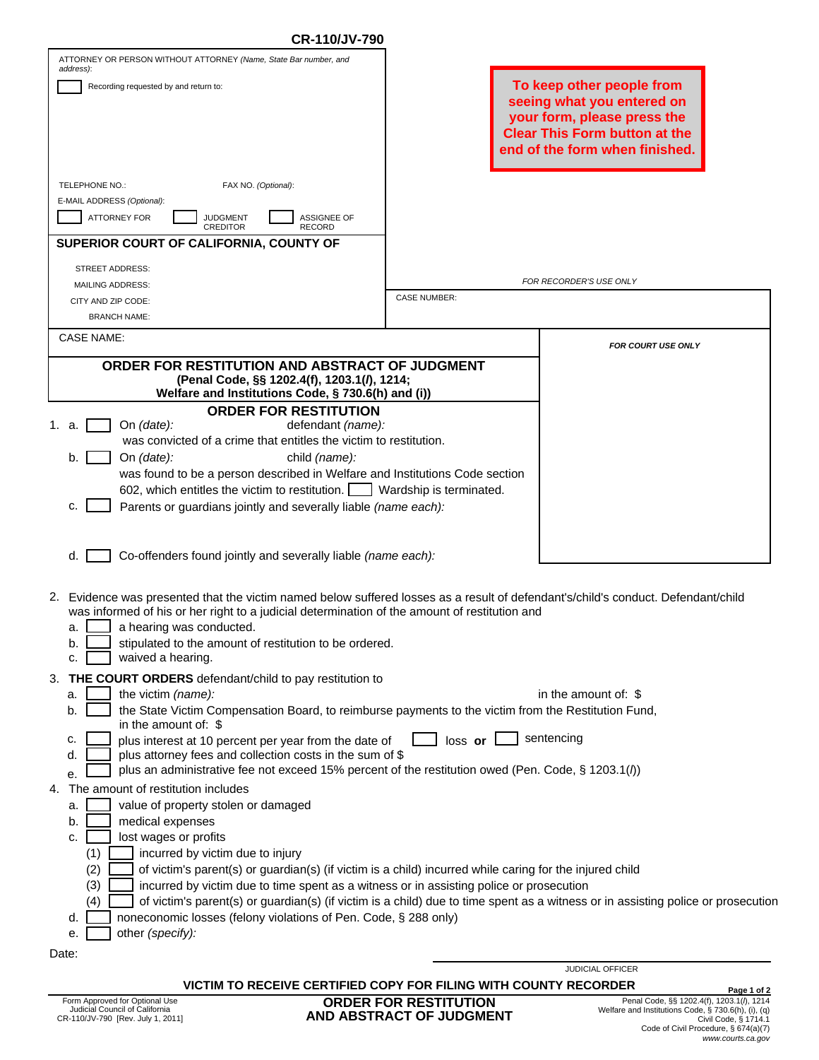| CR-110/JV-790                                                                                                                                                                                                                                                                                                                                                  |                                                                                                                                                                  |                                                                                                                                  |  |  |  |
|----------------------------------------------------------------------------------------------------------------------------------------------------------------------------------------------------------------------------------------------------------------------------------------------------------------------------------------------------------------|------------------------------------------------------------------------------------------------------------------------------------------------------------------|----------------------------------------------------------------------------------------------------------------------------------|--|--|--|
| ATTORNEY OR PERSON WITHOUT ATTORNEY (Name, State Bar number, and<br>address):                                                                                                                                                                                                                                                                                  |                                                                                                                                                                  |                                                                                                                                  |  |  |  |
| Recording requested by and return to:                                                                                                                                                                                                                                                                                                                          | To keep other people from<br>seeing what you entered on<br>your form, please press the<br><b>Clear This Form button at the</b><br>end of the form when finished. |                                                                                                                                  |  |  |  |
| TELEPHONE NO.:<br>FAX NO. (Optional):                                                                                                                                                                                                                                                                                                                          |                                                                                                                                                                  |                                                                                                                                  |  |  |  |
| E-MAIL ADDRESS (Optional):                                                                                                                                                                                                                                                                                                                                     |                                                                                                                                                                  |                                                                                                                                  |  |  |  |
| <b>ATTORNEY FOR</b><br><b>JUDGMENT</b><br><b>ASSIGNEE OF</b><br><b>CREDITOR</b><br><b>RECORD</b>                                                                                                                                                                                                                                                               |                                                                                                                                                                  |                                                                                                                                  |  |  |  |
| SUPERIOR COURT OF CALIFORNIA, COUNTY OF                                                                                                                                                                                                                                                                                                                        |                                                                                                                                                                  |                                                                                                                                  |  |  |  |
| STREET ADDRESS:                                                                                                                                                                                                                                                                                                                                                |                                                                                                                                                                  | FOR RECORDER'S USE ONLY                                                                                                          |  |  |  |
| <b>MAILING ADDRESS:</b><br>CITY AND ZIP CODE:                                                                                                                                                                                                                                                                                                                  | <b>CASE NUMBER:</b>                                                                                                                                              |                                                                                                                                  |  |  |  |
| <b>BRANCH NAME:</b>                                                                                                                                                                                                                                                                                                                                            |                                                                                                                                                                  |                                                                                                                                  |  |  |  |
| <b>CASE NAME:</b>                                                                                                                                                                                                                                                                                                                                              |                                                                                                                                                                  |                                                                                                                                  |  |  |  |
| ORDER FOR RESTITUTION AND ABSTRACT OF JUDGMENT<br>(Penal Code, §§ 1202.4(f), 1203.1(l), 1214;<br>Welfare and Institutions Code, § 730.6(h) and (i))                                                                                                                                                                                                            |                                                                                                                                                                  | <b>FOR COURT USE ONLY</b>                                                                                                        |  |  |  |
| <b>ORDER FOR RESTITUTION</b><br>On $(data)$ :<br>defendant (name):<br>1. a.                                                                                                                                                                                                                                                                                    |                                                                                                                                                                  |                                                                                                                                  |  |  |  |
| was convicted of a crime that entitles the victim to restitution.                                                                                                                                                                                                                                                                                              |                                                                                                                                                                  |                                                                                                                                  |  |  |  |
| child (name):<br>On (date):<br>b.                                                                                                                                                                                                                                                                                                                              |                                                                                                                                                                  |                                                                                                                                  |  |  |  |
| was found to be a person described in Welfare and Institutions Code section                                                                                                                                                                                                                                                                                    |                                                                                                                                                                  |                                                                                                                                  |  |  |  |
| 602, which entitles the victim to restitution.       Wardship is terminated.<br>Parents or guardians jointly and severally liable (name each):<br>c.                                                                                                                                                                                                           |                                                                                                                                                                  |                                                                                                                                  |  |  |  |
|                                                                                                                                                                                                                                                                                                                                                                |                                                                                                                                                                  |                                                                                                                                  |  |  |  |
| Co-offenders found jointly and severally liable (name each):<br>d.                                                                                                                                                                                                                                                                                             |                                                                                                                                                                  |                                                                                                                                  |  |  |  |
| 2. Evidence was presented that the victim named below suffered losses as a result of defendant's/child's conduct. Defendant/child<br>was informed of his or her right to a judicial determination of the amount of restitution and<br>a hearing was conducted.<br>a<br>stipulated to the amount of restitution to be ordered.<br>b.<br>waived a hearing.<br>c. |                                                                                                                                                                  |                                                                                                                                  |  |  |  |
| THE COURT ORDERS defendant/child to pay restitution to<br>3.                                                                                                                                                                                                                                                                                                   |                                                                                                                                                                  |                                                                                                                                  |  |  |  |
| the victim (name):<br>a.                                                                                                                                                                                                                                                                                                                                       |                                                                                                                                                                  | in the amount of: $$$                                                                                                            |  |  |  |
| the State Victim Compensation Board, to reimburse payments to the victim from the Restitution Fund,<br>b.<br>in the amount of: $$$                                                                                                                                                                                                                             |                                                                                                                                                                  |                                                                                                                                  |  |  |  |
| plus interest at 10 percent per year from the date of<br>c.<br>plus attorney fees and collection costs in the sum of \$<br>d.<br>plus an administrative fee not exceed 15% percent of the restitution owed (Pen. Code, § 1203.1(/))<br>e.                                                                                                                      | loss or                                                                                                                                                          | sentencing                                                                                                                       |  |  |  |
| The amount of restitution includes<br>4.                                                                                                                                                                                                                                                                                                                       |                                                                                                                                                                  |                                                                                                                                  |  |  |  |
| value of property stolen or damaged<br>а.                                                                                                                                                                                                                                                                                                                      |                                                                                                                                                                  |                                                                                                                                  |  |  |  |
| medical expenses<br>b.<br>lost wages or profits                                                                                                                                                                                                                                                                                                                |                                                                                                                                                                  |                                                                                                                                  |  |  |  |
| c.<br>(1)<br>incurred by victim due to injury                                                                                                                                                                                                                                                                                                                  |                                                                                                                                                                  |                                                                                                                                  |  |  |  |
| (2)<br>of victim's parent(s) or guardian(s) (if victim is a child) incurred while caring for the injured child                                                                                                                                                                                                                                                 |                                                                                                                                                                  |                                                                                                                                  |  |  |  |
| (3)<br>incurred by victim due to time spent as a witness or in assisting police or prosecution                                                                                                                                                                                                                                                                 |                                                                                                                                                                  |                                                                                                                                  |  |  |  |
| (4)<br>noneconomic losses (felony violations of Pen. Code, § 288 only)                                                                                                                                                                                                                                                                                         |                                                                                                                                                                  | of victim's parent(s) or guardian(s) (if victim is a child) due to time spent as a witness or in assisting police or prosecution |  |  |  |
| d.<br>other (specify):<br>е.                                                                                                                                                                                                                                                                                                                                   |                                                                                                                                                                  |                                                                                                                                  |  |  |  |
| Date:                                                                                                                                                                                                                                                                                                                                                          |                                                                                                                                                                  |                                                                                                                                  |  |  |  |
|                                                                                                                                                                                                                                                                                                                                                                |                                                                                                                                                                  | <b>JUDICIAL OFFICER</b>                                                                                                          |  |  |  |

**VICTIM TO RECEIVE CERTIFIED COPY FOR FILING WITH COUNTY RECORDER Page 1 of 2**

**ORDER FOR RESTITUTION AND ABSTRACT OF JUDGMENT**